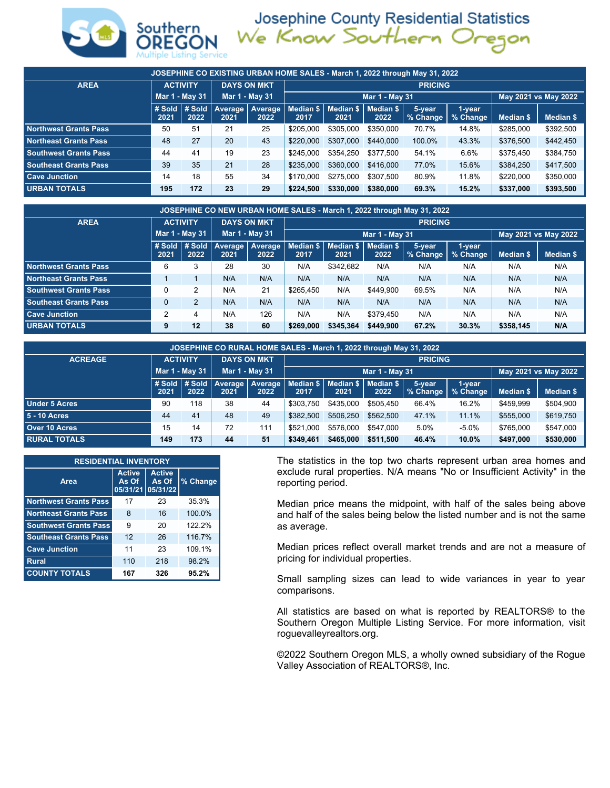

Josephine County Residential Statistics<br>We Know Southern Oregon

| JOSEPHINE CO EXISTING URBAN HOME SALES - March 1, 2022 through May 31, 2022 |                                       |                |                |                           |                   |                   |                   |                    |                    |                  |                      |  |  |  |
|-----------------------------------------------------------------------------|---------------------------------------|----------------|----------------|---------------------------|-------------------|-------------------|-------------------|--------------------|--------------------|------------------|----------------------|--|--|--|
| <b>AREA</b>                                                                 | <b>DAYS ON MKT</b><br><b>ACTIVITY</b> |                |                | <b>PRICING</b>            |                   |                   |                   |                    |                    |                  |                      |  |  |  |
|                                                                             |                                       | Mar 1 - May 31 | Mar 1 - May 31 |                           |                   |                   | Mar 1 - May 31    |                    |                    |                  | May 2021 vs May 2022 |  |  |  |
|                                                                             | # Sold $#$ Sold<br>2021               | 2022           | 2021           | Average   Average<br>2022 | Median \$<br>2017 | Median \$<br>2021 | Median \$<br>2022 | 5-vear<br>% Change | 1-year<br>% Change | <b>Median \$</b> | <b>Median \$</b>     |  |  |  |
| Northwest Grants Pass                                                       | 50                                    | 51             | 21             | 25                        | \$205,000         | \$305,000         | \$350,000         | 70.7%              | 14.8%              | \$285,000        | \$392,500            |  |  |  |
| Northeast Grants Pass                                                       | 48                                    | 27             | 20             | 43                        | \$220,000         | \$307,000         | \$440,000         | 100.0%             | 43.3%              | \$376,500        | \$442,450            |  |  |  |
| <b>Southwest Grants Pass</b>                                                | 44                                    | 41             | 19             | 23                        | \$245.000         | \$354.250         | \$377.500         | 54.1%              | 6.6%               | \$375.450        | \$384,750            |  |  |  |
| <b>Southeast Grants Pass</b>                                                | 39                                    | 35             | 21             | 28                        | \$235,000         | \$360,000         | \$416,000         | 77.0%              | 15.6%              | \$384,250        | \$417,500            |  |  |  |
| <b>Cave Junction</b>                                                        | 14                                    | 18             | 55             | 34                        | \$170,000         | \$275,000         | \$307.500         | 80.9%              | 11.8%              | \$220,000        | \$350,000            |  |  |  |
| <b>URBAN TOTALS</b>                                                         | 195                                   | 172            | 23             | 29                        | \$224,500         | \$330,000         | \$380,000         | 69.3%              | 15.2%              | \$337,000        | \$393,500            |  |  |  |

| JOSEPHINE CO NEW URBAN HOME SALES - March 1, 2022 through May 31, 2022 |                                       |                  |      |                           |           |                |                                             |                      |                    |           |           |  |  |  |
|------------------------------------------------------------------------|---------------------------------------|------------------|------|---------------------------|-----------|----------------|---------------------------------------------|----------------------|--------------------|-----------|-----------|--|--|--|
| <b>AREA</b>                                                            | <b>DAYS ON MKT</b><br><b>ACTIVITY</b> |                  |      | <b>PRICING</b>            |           |                |                                             |                      |                    |           |           |  |  |  |
|                                                                        |                                       | Mar 1 - May 31   |      | Mar 1 - May 31            |           | Mar 1 - May 31 |                                             | May 2021 vs May 2022 |                    |           |           |  |  |  |
|                                                                        | #Sold<br>2021                         | $#$ Sold<br>2022 | 2021 | Average   Average<br>2022 | 2017      | 2021           | Median \$   Median \$   Median \$  <br>2022 | 5-vear<br>% Change   | 1-year<br>% Change | Median \$ | Median \$ |  |  |  |
| Northwest Grants Pass                                                  | 6                                     | 3                | 28   | 30                        | N/A       | \$342.682      | N/A                                         | N/A                  | N/A                | N/A       | N/A       |  |  |  |
| Northeast Grants Pass                                                  |                                       |                  | N/A  | N/A                       | N/A       | N/A            | N/A                                         | N/A                  | N/A                | N/A       | N/A       |  |  |  |
| <b>Southwest Grants Pass</b>                                           | 0                                     | 2                | N/A  | 21                        | \$265.450 | N/A            | \$449.900                                   | 69.5%                | N/A                | N/A       | N/A       |  |  |  |
| <b>Southeast Grants Pass</b>                                           | 0                                     | $\overline{2}$   | N/A  | N/A                       | N/A       | N/A            | N/A                                         | N/A                  | N/A                | N/A       | N/A       |  |  |  |
| Cave Junction                                                          | 2                                     | 4                | N/A  | 126                       | N/A       | N/A            | \$379.450                                   | N/A                  | N/A                | N/A       | N/A       |  |  |  |
| <b>URBAN TOTALS</b>                                                    | 9                                     | 12               | 38   | 60                        | \$269,000 | \$345,364      | \$449,900                                   | 67.2%                | 30.3%              | \$358,145 | N/A       |  |  |  |

| JOSEPHINE CO RURAL HOME SALES - March 1, 2022 through May 31, 2022 |                |                 |                                    |                    |                |                                             |                |                    |                    |                      |           |  |  |  |  |
|--------------------------------------------------------------------|----------------|-----------------|------------------------------------|--------------------|----------------|---------------------------------------------|----------------|--------------------|--------------------|----------------------|-----------|--|--|--|--|
| <b>ACREAGE</b>                                                     |                | <b>ACTIVITY</b> |                                    | <b>DAYS ON MKT</b> | <b>PRICING</b> |                                             |                |                    |                    |                      |           |  |  |  |  |
|                                                                    |                | Mar 1 - May 31  |                                    | Mar 1 - May 31     |                |                                             | Mar 1 - May 31 |                    |                    | May 2021 vs May 2022 |           |  |  |  |  |
|                                                                    | # Sold<br>2021 | 2022            | # Sold   Average   Average<br>2021 | 2022               | 2017           | Median \$   Median \$   Median \$  <br>2021 | 2022           | 5-year<br>% Change | 1-year<br>% Change | Median \$            | Median \$ |  |  |  |  |
| <b>Under 5 Acres</b>                                               | 90             | 118             | 38                                 | 44                 | \$303.750      | \$435,000                                   | \$505,450      | 66.4%              | 16.2%              | \$459.999            | \$504,900 |  |  |  |  |
| 5 - 10 Acres                                                       | 44             | 41              | 48                                 | 49                 | \$382.500      | \$506,250                                   | \$562,500      | 47.1%              | 11.1%              | \$555,000            | \$619,750 |  |  |  |  |
| Over 10 Acres                                                      | 15             | 14              | 72                                 | 111                | \$521,000      | \$576.000                                   | \$547.000      | 5.0%               | $-5.0%$            | \$765,000            | \$547,000 |  |  |  |  |
| <b>RURAL TOTALS</b>                                                | 149            | 173             | 44                                 | 51                 | \$349,461      | \$465,000                                   | \$511,500      | 46.4%              | 10.0%              | \$497,000            | \$530,000 |  |  |  |  |

| <b>RESIDENTIAL INVENTORY</b> |                                    |                                    |          |  |  |  |  |  |  |  |  |
|------------------------------|------------------------------------|------------------------------------|----------|--|--|--|--|--|--|--|--|
| Area                         | <b>Active</b><br>As Of<br>05/31/21 | <b>Active</b><br>As Of<br>05/31/22 | % Change |  |  |  |  |  |  |  |  |
| <b>Northwest Grants Pass</b> | 17                                 | 23                                 | 35.3%    |  |  |  |  |  |  |  |  |
| <b>Northeast Grants Pass</b> | 8                                  | 16                                 | 100.0%   |  |  |  |  |  |  |  |  |
| <b>Southwest Grants Pass</b> | 9                                  | 20                                 | 122 2%   |  |  |  |  |  |  |  |  |
| <b>Southeast Grants Pass</b> | 12                                 | 26                                 | 116.7%   |  |  |  |  |  |  |  |  |
| <b>Cave Junction</b>         | 11                                 | 23                                 | 109.1%   |  |  |  |  |  |  |  |  |
| <b>Rural</b>                 | 110                                | 218                                | 98.2%    |  |  |  |  |  |  |  |  |
| <b>COUNTY TOTALS</b>         | 167                                | 326                                | 95.2%    |  |  |  |  |  |  |  |  |

The statistics in the top two charts represent urban area homes and exclude rural properties. N/A means "No or Insufficient Activity" in the reporting period.

Median price means the midpoint, with half of the sales being above and half of the sales being below the listed number and is not the same as average.

Median prices reflect overall market trends and are not a measure of pricing for individual properties.

Small sampling sizes can lead to wide variances in year to year comparisons.

All statistics are based on what is reported by REALTORS® to the Southern Oregon Multiple Listing Service. For more information, visit roguevalleyrealtors.org.

©2022 Southern Oregon MLS, a wholly owned subsidiary of the Rogue Valley Association of REALTORS®, Inc.